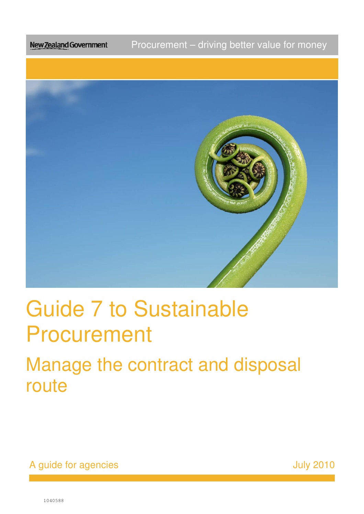Procurement – driving better value for money New Zealand Government



# Guide 7 to Sustainable Procurement

Procurement<br>Manage the contract and disposal route

A guide for agencies **A struck and A** guide for agencies **A** struck and A struck and A struck and A struck and A struck and A struck and A struck and A struck and A struck and A struck and A struck and A struck and A struc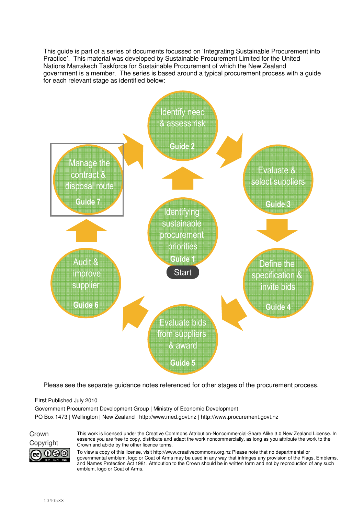This guide is part of a series of documents focussed on 'Integrating Sustainable Procurement into Practice'. This material was developed by Sustainable Procurement Limited for the United Nations Marrakech Taskforce for Sustainable Procurement of which the New Zealand government is a member. The series is based around a typical procurement process with a guide for each relevant stage as identified below:



Please see the separate guidance notes referenced for other stages of the procurement process.

#### First Published July 2010

Government Procurement Development Group | Ministry of Economic Development PO Box 1473 | Wellington | New Zealand | http://www.med.govt.nz | http://www.procurement.govt.nz



This work is licensed under the Creative Commons Attribution-Noncommercial-Share Alike 3.0 New Zealand License. In essence you are free to copy, distribute and adapt the work noncommercially, as long as you attribute the work to the Copyright Crown and abide by the other licence terms.

> To view a copy of this license, visit http://www.creativecommons.org.nz Please note that no departmental or governmental emblem, logo or Coat of Arms may be used in any way that infringes any provision of the Flags, Emblems, and Names Protection Act 1981. Attribution to the Crown should be in written form and not by reproduction of any such emblem, logo or Coat of Arms.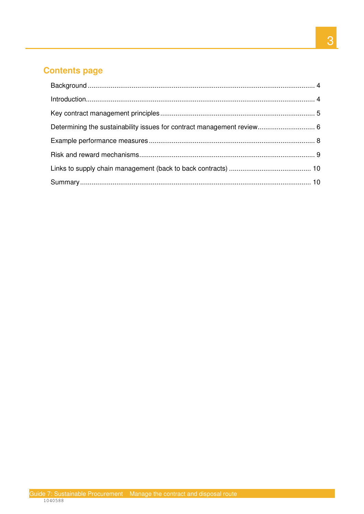# **Contents page**

| Determining the sustainability issues for contract management review 6 |  |
|------------------------------------------------------------------------|--|
|                                                                        |  |
|                                                                        |  |
|                                                                        |  |
|                                                                        |  |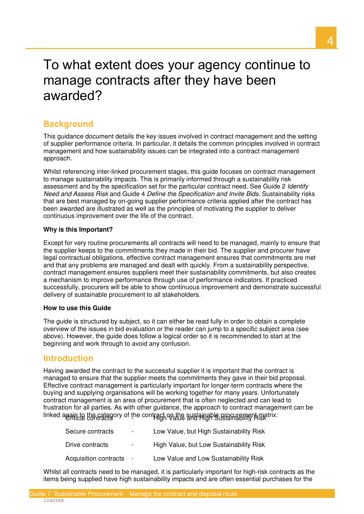# To what extent does your agency continue to manage contracts after they have been awarded?

# **Background**

This guidance document details the key issues involved in contract management and the setting of supplier performance criteria. In particular, it details the common principles involved in contract management and how sustainability issues can be integrated into a contract management approach.

Whilst referencing inter-linked procurement stages, this guide focuses on contract management to manage sustainability impacts. This is primarily informed through a sustainability risk assessment and by the specification set for the particular contract need. See Guide 2 Identify Need and Assess Risk and Guide 4 Define the Specification and Invite Bids. Sustainability risks that are best managed by on-going supplier performance criteria applied after the contract has been awarded are illustrated as well as the principles of motivating the supplier to deliver continuous improvement over the life of the contract.

#### **Why is this Important?**

Except for very routine procurements all contracts will need to be managed, mainly to ensure that the supplier keeps to the commitments they made in their bid. The supplier and procurer have legal contractual obligations, effective contract management ensures that commitments are met and that any problems are managed and dealt with quickly. From a sustainability perspective, contract management ensures suppliers meet their sustainability commitments, but also creates a mechanism to improve performance through use of performance indicators. If practiced successfully, procurers will be able to show continuous improvement and demonstrate successful delivery of sustainable procurement to all stakeholders.

#### **How to use this Guide**

The guide is structured by subject, so it can either be read fully in order to obtain a complete overview of the issues in bid evaluation or the reader can jump to a specific subject area (see above). However, the guide does follow a logical order so it is recommended to start at the beginning and work through to avoid any confusion.

## **Introduction**

linked again to the category of the contract on the sustainable procurement matrix:<br>Contracts - High Value and High Value and High Sustainability Risk Having awarded the contract to the successful supplier it is important that the contract is managed to ensure that the supplier meets the commitments they gave in their bid proposal. Effective contract management is particularly important for longer-term contracts where the buying and supplying organisations will be working together for many years. Unfortunately contract management is an area of procurement that is often neglected and can lead to frustration for all parties. As with other guidance, the approach to contract management can be

| Secure contracts      | $\overline{\phantom{a}}$ | Low Value, but High Sustainability Risk |
|-----------------------|--------------------------|-----------------------------------------|
| Drive contracts       | $\sim$                   | High Value, but Low Sustainability Risk |
| Acquisition contracts | $\sim$                   | Low Value and Low Sustainability Risk   |

 Whilst all contracts need to be managed, it is particularly important for high-risk contracts as the items being supplied have high sustainability impacts and are often essential purchases for the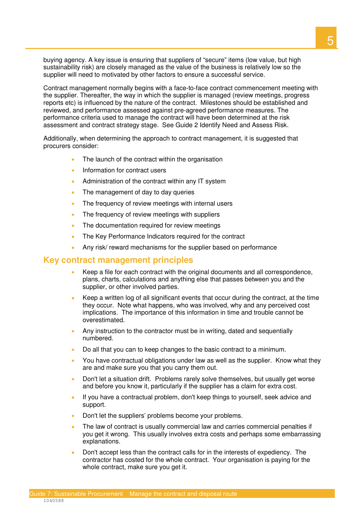buying agency. A key issue is ensuring that suppliers of "secure" items (low value, but high sustainability risk) are closely managed as the value of the business is relatively low so the supplier will need to motivated by other factors to ensure a successful service.

 Contract management normally begins with a face-to-face contract commencement meeting with the supplier. Thereafter, the way in which the supplier is managed (review meetings, progress reports etc) is influenced by the nature of the contract. Milestones should be established and reviewed, and performance assessed against pre-agreed performance measures. The performance criteria used to manage the contract will have been determined at the risk assessment and contract strategy stage. See Guide 2 Identify Need and Assess Risk.

 Additionally, when determining the approach to contract management, it is suggested that procurers consider:

- The launch of the contract within the organisation
- Information for contract users
- Administration of the contract within any IT system
- The management of day to day queries
- The frequency of review meetings with internal users
- The frequency of review meetings with suppliers
- The documentation required for review meetings
- The Key Performance Indicators required for the contract
- Any risk/ reward mechanisms for the supplier based on performance

#### **Key contract management principles**

- Keep a file for each contract with the original documents and all correspondence, plans, charts, calculations and anything else that passes between you and the supplier, or other involved parties.
- Keep a written log of all significant events that occur during the contract, at the time they occur. Note what happens, who was involved, why and any perceived cost implications. The importance of this information in time and trouble cannot be overestimated.
- Any instruction to the contractor must be in writing, dated and sequentially numbered.
- Do all that you can to keep changes to the basic contract to a minimum.
- You have contractual obligations under law as well as the supplier. Know what they are and make sure you that you carry them out.
- Don't let a situation drift. Problems rarely solve themselves, but usually get worse and before you know it, particularly if the supplier has a claim for extra cost.
- If you have a contractual problem, don't keep things to yourself, seek advice and support.
- Don't let the suppliers' problems become your problems.
- The law of contract is usually commercial law and carries commercial penalties if you get it wrong. This usually involves extra costs and perhaps some embarrassing explanations.
- Don't accept less than the contract calls for in the interests of expediency. The contractor has costed for the whole contract. Your organisation is paying for the whole contract, make sure you get it.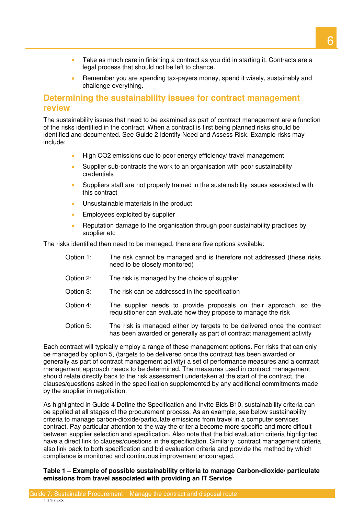- Take as much care in finishing a contract as you did in starting it. Contracts are a legal process that should not be left to chance.
- Remember you are spending tax-payers money, spend it wisely, sustainably and challenge everything.

## **Determining the sustainability issues for contract management review**

 The sustainability issues that need to be examined as part of contract management are a function of the risks identified in the contract. When a contract is first being planned risks should be identified and documented. See Guide 2 Identify Need and Assess Risk. Example risks may include:

- High CO2 emissions due to poor energy efficiency/ travel management
- Supplier sub-contracts the work to an organisation with poor sustainability credentials
- Suppliers staff are not properly trained in the sustainability issues associated with this contract
- Unsustainable materials in the product
- Employees exploited by supplier
- Reputation damage to the organisation through poor sustainability practices by supplier etc

The risks identified then need to be managed, there are five options available:

- Option 1: need to be closely monitored) The risk cannot be managed and is therefore not addressed (these risks
- Option 2: The risk is managed by the choice of supplier
- Option 3: The risk can be addressed in the specification
- Option 4: requisitioner can evaluate how they propose to manage the risk The supplier needs to provide proposals on their approach, so the
- Option 5: has been awarded or generally as part of contract management activity The risk is managed either by targets to be delivered once the contract

 Each contract will typically employ a range of these management options. For risks that can only be managed by option 5, (targets to be delivered once the contract has been awarded or generally as part of contract management activity) a set of performance measures and a contract management approach needs to be determined. The measures used in contract management should relate directly back to the risk assessment undertaken at the start of the contract, the clauses/questions asked in the specification supplemented by any additional commitments made by the supplier in negotiation.

 As highlighted in Guide 4 Define the Specification and Invite Bids B10, sustainability criteria can be applied at all stages of the procurement process. As an example, see below sustainability criteria to manage carbon-dioxide/particulate emissions from travel in a computer services contract. Pay particular attention to the way the criteria become more specific and more dificult between supplier selection and specification. Also note that the bid evaluation criteria highlighted have a direct link to clauses/questions in the specification. Similarly, contract management criteria also link back to both specification and bid evaluation criteria and provide the method by which compliance is monitored and continuous improvement encouraged.

 **Table 1 – Example of possible sustainability criteria to manage Carbon-dioxide/ particulate emissions from travel associated with providing an IT Service**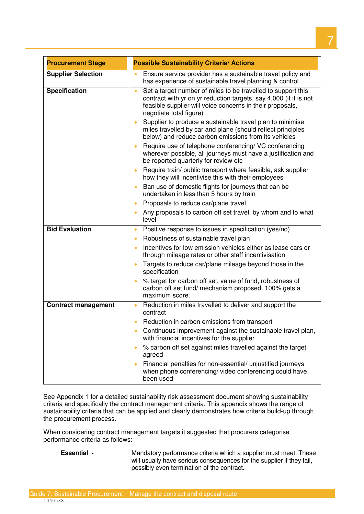| <b>Procurement Stage</b>   | <b>Possible Sustainability Criteria/ Actions</b>                                                                                                                                                                                       |
|----------------------------|----------------------------------------------------------------------------------------------------------------------------------------------------------------------------------------------------------------------------------------|
| <b>Supplier Selection</b>  | Ensure service provider has a sustainable travel policy and                                                                                                                                                                            |
|                            | has experience of sustainable travel planning & control                                                                                                                                                                                |
| <b>Specification</b>       | Set a target number of miles to be travelled to support this<br>$\bullet$<br>contract with yr on yr reduction targets, say 4,000 (if it is not<br>feasible supplier will voice concerns in their proposals,<br>negotiate total figure) |
|                            | Supplier to produce a sustainable travel plan to minimise<br>miles travelled by car and plane (should reflect principles<br>below) and reduce carbon emissions from its vehicles                                                       |
|                            | Require use of telephone conferencing/ VC conferencing<br>wherever possible, all journeys must have a justification and<br>be reported quarterly for review etc                                                                        |
|                            | Require train/ public transport where feasible, ask supplier<br>$\bullet$<br>how they will incentivise this with their employees                                                                                                       |
|                            | Ban use of domestic flights for journeys that can be<br>$\bullet$<br>undertaken in less than 5 hours by train                                                                                                                          |
|                            | Proposals to reduce car/plane travel<br>۰                                                                                                                                                                                              |
|                            | Any proposals to carbon off set travel, by whom and to what<br>$\bullet$<br>level                                                                                                                                                      |
| <b>Bid Evaluation</b>      | Positive response to issues in specification (yes/no)<br>$\bullet$                                                                                                                                                                     |
|                            | Robustness of sustainable travel plan<br>$\bullet$                                                                                                                                                                                     |
|                            | Incentives for low emission vehicles either as lease cars or<br>through mileage rates or other staff incentivisation                                                                                                                   |
|                            | Targets to reduce car/plane mileage beyond those in the<br>$\bullet$<br>specification                                                                                                                                                  |
|                            | % target for carbon off set, value of fund, robustness of<br>carbon off set fund/ mechanism proposed. 100% gets a<br>maximum score.                                                                                                    |
| <b>Contract management</b> | Reduction in miles travelled to deliver and support the<br>$\bullet$<br>contract                                                                                                                                                       |
|                            | Reduction in carbon emissions from transport                                                                                                                                                                                           |
|                            | Continuous improvement against the sustainable travel plan,<br>with financial incentives for the supplier                                                                                                                              |
|                            | % carbon off set against miles travelled against the target<br>agreed                                                                                                                                                                  |
|                            | Financial penalties for non-essential/ unjustified journeys<br>$\bullet$<br>when phone conferencing/video conferencing could have<br>been used                                                                                         |

 See Appendix 1 for a detailed sustainability risk assessment document showing sustainability criteria and specifically the contract management criteria. This appendix shows the range of sustainability criteria that can be applied and clearly demonstrates how criteria build-up through the procurement process.

 When considering contract management targets it suggested that procurers categorise performance criteria as follows:

**Essential -**

 will usually have serious consequences for the supplier if they fail, possibly even termination of the contract. Mandatory performance criteria which a supplier must meet. These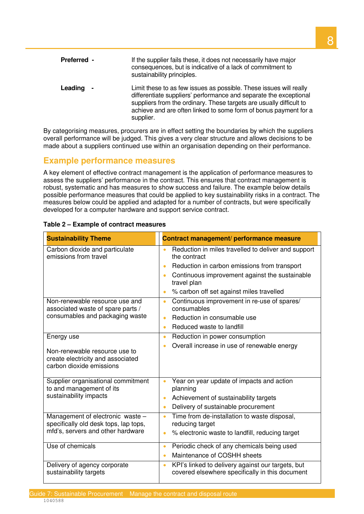| Preferred - | If the supplier fails these, it does not necessarily have major<br>consequences, but is indicative of a lack of commitment to<br>sustainability principles.                                                                                                                                     |
|-------------|-------------------------------------------------------------------------------------------------------------------------------------------------------------------------------------------------------------------------------------------------------------------------------------------------|
| Leading     | Limit these to as few issues as possible. These issues will really<br>differentiate suppliers' performance and separate the exceptional<br>suppliers from the ordinary. These targets are usually difficult to<br>achieve and are often linked to some form of bonus payment for a<br>supplier. |

 By categorising measures, procurers are in effect setting the boundaries by which the suppliers overall performance will be judged. This gives a very clear structure and allows decisions to be made about a suppliers continued use within an organisation depending on their performance.

# **Example performance measures**

 A key element of effective contract management is the application of performance measures to assess the suppliers' performance in the contract. This ensures that contract management is robust, systematic and has measures to show success and failure. The example below details possible performance measures that could be applied to key sustainability risks in a contract. The measures below could be applied and adapted for a number of contracts, but were specifically developed for a computer hardware and support service contract.

| <b>Sustainability Theme</b>                                                                                    | Contract management/ performance measure                                                                                                                                                                                                                                |
|----------------------------------------------------------------------------------------------------------------|-------------------------------------------------------------------------------------------------------------------------------------------------------------------------------------------------------------------------------------------------------------------------|
| Carbon dioxide and particulate<br>emissions from travel                                                        | Reduction in miles travelled to deliver and support<br>$\bullet$<br>the contract<br>Reduction in carbon emissions from transport<br>$\bullet$<br>Continuous improvement against the sustainable<br>travel plan<br>% carbon off set against miles travelled<br>$\bullet$ |
| Non-renewable resource use and<br>associated waste of spare parts /<br>consumables and packaging waste         | Continuous improvement in re-use of spares/<br>$\bullet$<br>consumables<br>Reduction in consumable use<br>$\bullet$<br>Reduced waste to landfill<br>$\bullet$                                                                                                           |
| Energy use<br>Non-renewable resource use to<br>create electricity and associated<br>carbon dioxide emissions   | Reduction in power consumption<br>$\bullet$<br>Overall increase in use of renewable energy<br>$\bullet$                                                                                                                                                                 |
| Supplier organisational commitment<br>to and management of its<br>sustainability impacts                       | Year on year update of impacts and action<br>$\bullet$<br>planning<br>Achievement of sustainability targets<br>$\bullet$<br>Delivery of sustainable procurement<br>$\bullet$                                                                                            |
| Management of electronic waste -<br>specifically old desk tops, lap tops,<br>mfd's, servers and other hardware | Time from de-installation to waste disposal,<br>$\bullet$<br>reducing target<br>% electronic waste to landfill, reducing target<br>$\bullet$                                                                                                                            |
| Use of chemicals                                                                                               | Periodic check of any chemicals being used<br>$\bullet$<br>Maintenance of COSHH sheets<br>$\bullet$                                                                                                                                                                     |
| Delivery of agency corporate<br>sustainability targets                                                         | KPI's linked to delivery against our targets, but<br>$\bullet$<br>covered elsewhere specifically in this document                                                                                                                                                       |

#### **Table 2 – Example of contract measures**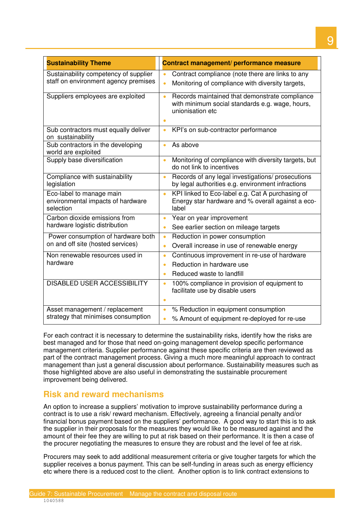| <b>Sustainability Theme</b>                                                   | Contract management/ performance measure                                                                                              |
|-------------------------------------------------------------------------------|---------------------------------------------------------------------------------------------------------------------------------------|
| Sustainability competency of supplier<br>staff on environment agency premises | Contract compliance (note there are links to any<br>Monitoring of compliance with diversity targets,<br>$\bullet$                     |
| Suppliers employees are exploited                                             | Records maintained that demonstrate compliance<br>$\bullet$<br>with minimum social standards e.g. wage, hours,<br>unionisation etc    |
| Sub contractors must equally deliver<br>on sustainability                     | KPI's on sub-contractor performance<br>$\bullet$                                                                                      |
| Sub contractors in the developing<br>world are exploited                      | As above<br>$\bullet$                                                                                                                 |
| Supply base diversification                                                   | Monitoring of compliance with diversity targets, but<br>$\bullet$<br>do not link to incentives                                        |
| Compliance with sustainability<br>legislation                                 | Records of any legal investigations/ prosecutions<br>$\bullet$<br>by legal authorities e.g. environment infractions                   |
| Eco-label to manage main<br>environmental impacts of hardware<br>selection    | KPI linked to Eco-label e.g. Cat A purchasing of<br>$\bullet$<br>Energy star hardware and % overall against a eco-<br>label           |
| Carbon dioxide emissions from<br>hardware logistic distribution               | Year on year improvement<br>$\bullet$<br>See earlier section on mileage targets<br>$\bullet$                                          |
| Power consumption of hardware both<br>on and off site (hosted services)       | Reduction in power consumption<br>۰<br>Overall increase in use of renewable energy<br>$\bullet$                                       |
| Non renewable resources used in<br>hardware                                   | Continuous improvement in re-use of hardware<br>$\bullet$<br>Reduction in hardware use<br>$\bullet$<br>Reduced waste to landfill<br>۰ |
| <b>DISABLED USER ACCESSIBILITY</b>                                            | 100% compliance in provision of equipment to<br>$\bullet$<br>facilitate use by disable users                                          |
| Asset management / replacement<br>strategy that minimises consumption         | % Reduction in equipment consumption<br>$\bullet$<br>% Amount of equipment re-deployed for re-use                                     |

 For each contract it is necessary to determine the sustainability risks, identify how the risks are best managed and for those that need on-going management develop specific performance management criteria. Supplier performance against these specific criteria are then reviewed as part of the contract management process. Giving a much more meaningful approach to contract management than just a general discussion about performance. Sustainability measures such as those highlighted above are also useful in demonstrating the sustainable procurement improvement being delivered.

# **Risk and reward mechanisms**

 An option to increase a suppliers' motivation to improve sustainability performance during a contract is to use a risk/ reward mechanism. Effectively, agreeing a financial penalty and/or financial bonus payment based on the suppliers' performance. A good way to start this is to ask the supplier in their proposals for the measures they would like to be measured against and the amount of their fee they are willing to put at risk based on their performance. It is then a case of the procurer negotiating the measures to ensure they are robust and the level of fee at risk.

 Procurers may seek to add additional measurement criteria or give tougher targets for which the supplier receives a bonus payment. This can be self-funding in areas such as energy efficiency etc where there is a reduced cost to the client. Another option is to link contract extensions to